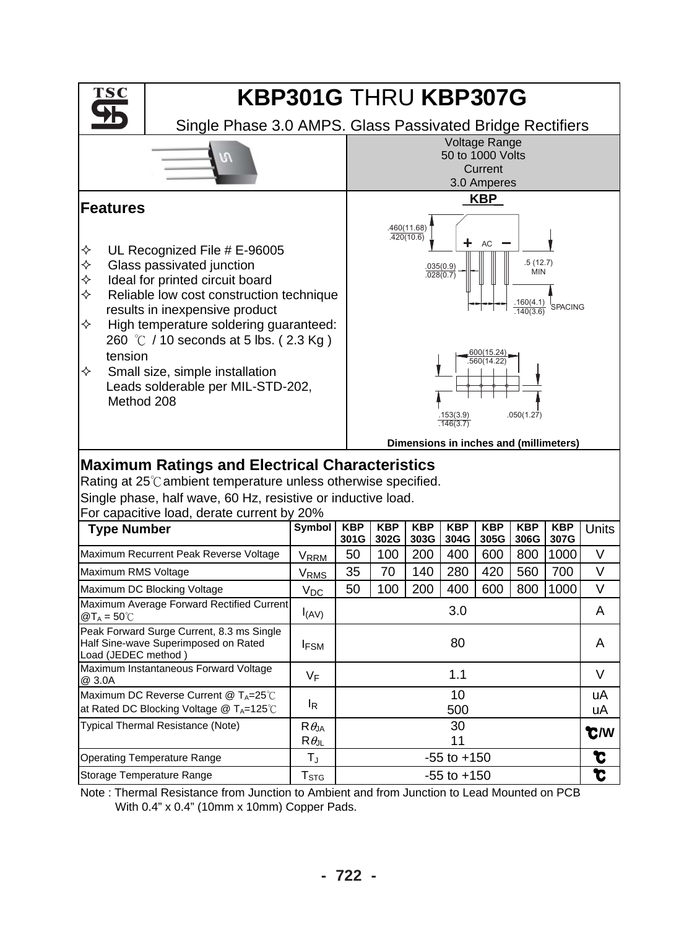

Note : Thermal Resistance from Junction to Ambient and from Junction to Lead Mounted on PCB With 0.4" x 0.4" (10mm x 10mm) Copper Pads.